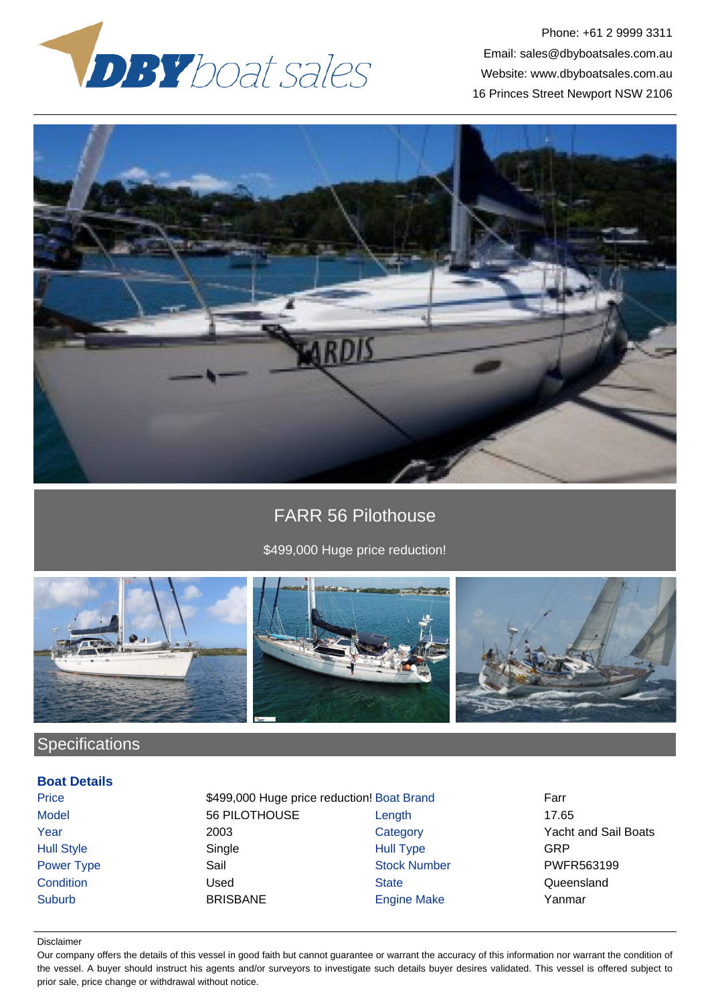

Phone: +61 2 9999 3311 Email: sales@dbyboatsales.com.au Website: www.dbyboatsales.com.au 16 Princes Street Newport NSW 2106



# FARR 56 Pilothouse

### \$499,000 Huge price reduction!



# **Specifications**

### **Boat Details**

Price **\$499,000 Huge price reduction! Boat Brand Farr** Model 56 PILOTHOUSE Length 17.65 Year 2003 Category Yacht and Sail Boats Hull Style Single Hull Type GRP Power Type Sail Sail Stock Number PWFR563199 Condition Condition Condition Condition Condition Condition Cueensland Suburb BRISBANE Engine Make Yanmar

#### Disclaimer

Our company offers the details of this vessel in good faith but cannot guarantee or warrant the accuracy of this information nor warrant the condition of the vessel. A buyer should instruct his agents and/or surveyors to investigate such details buyer desires validated. This vessel is offered subject to prior sale, price change or withdrawal without notice.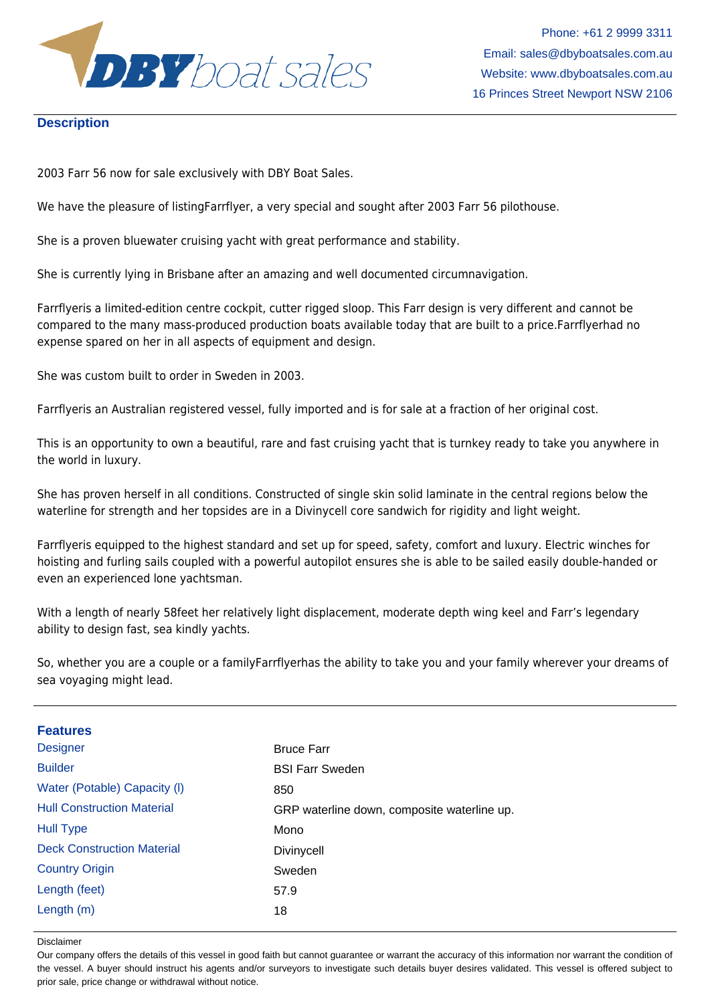

#### **Description**

2003 Farr 56 now for sale exclusively with DBY Boat Sales.

We have the pleasure of listingFarrflyer, a very special and sought after 2003 Farr 56 pilothouse.

She is a proven bluewater cruising yacht with great performance and stability.

She is currently lying in Brisbane after an amazing and well documented circumnavigation.

Farrflyeris a limited-edition centre cockpit, cutter rigged sloop. This Farr design is very different and cannot be compared to the many mass-produced production boats available today that are built to a price.Farrflyerhad no expense spared on her in all aspects of equipment and design.

She was custom built to order in Sweden in 2003.

Farrflyeris an Australian registered vessel, fully imported and is for sale at a fraction of her original cost.

This is an opportunity to own a beautiful, rare and fast cruising yacht that is turnkey ready to take you anywhere in the world in luxury.

She has proven herself in all conditions. Constructed of single skin solid laminate in the central regions below the waterline for strength and her topsides are in a Divinycell core sandwich for rigidity and light weight.

Farrflyeris equipped to the highest standard and set up for speed, safety, comfort and luxury. Electric winches for hoisting and furling sails coupled with a powerful autopilot ensures she is able to be sailed easily double-handed or even an experienced lone yachtsman.

With a length of nearly 58feet her relatively light displacement, moderate depth wing keel and Farr's legendary ability to design fast, sea kindly yachts.

So, whether you are a couple or a familyFarrflyerhas the ability to take you and your family wherever your dreams of sea voyaging might lead.

| <b>Features</b>                   |                                             |
|-----------------------------------|---------------------------------------------|
| <b>Designer</b>                   | <b>Bruce Farr</b>                           |
| <b>Builder</b>                    | <b>BSI Farr Sweden</b>                      |
| Water (Potable) Capacity (I)      | 850                                         |
| <b>Hull Construction Material</b> | GRP waterline down, composite waterline up. |
| <b>Hull Type</b>                  | Mono                                        |
| <b>Deck Construction Material</b> | Divinycell                                  |
| <b>Country Origin</b>             | Sweden                                      |
| Length (feet)                     | 57.9                                        |
| Length $(m)$                      | 18                                          |

Disclaimer

Our company offers the details of this vessel in good faith but cannot guarantee or warrant the accuracy of this information nor warrant the condition of the vessel. A buyer should instruct his agents and/or surveyors to investigate such details buyer desires validated. This vessel is offered subject to prior sale, price change or withdrawal without notice.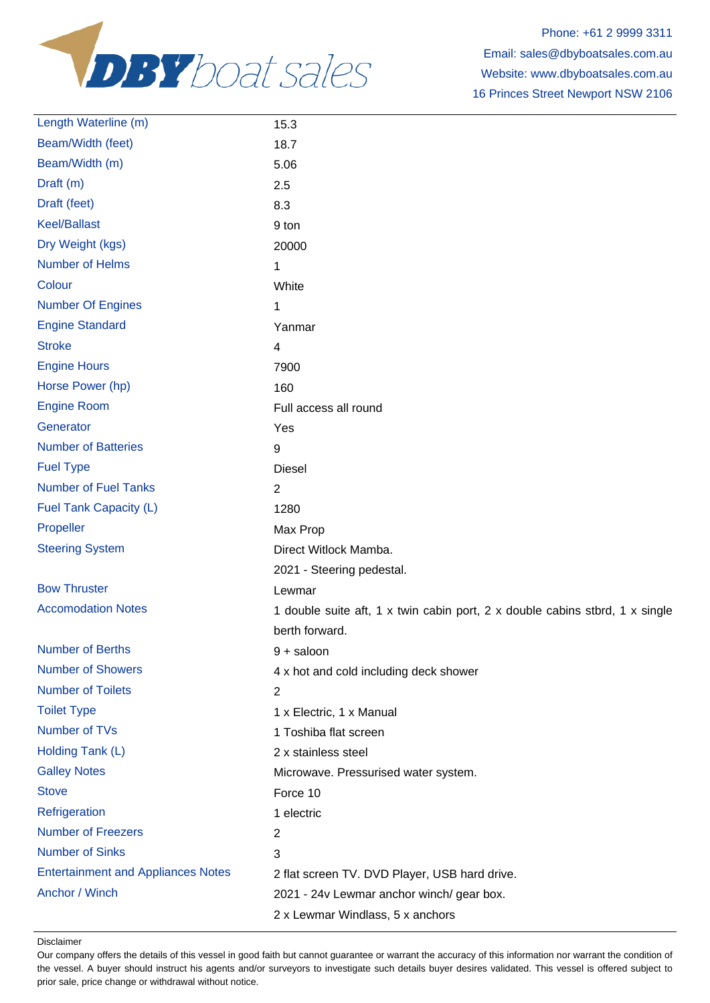

| Length Waterline (m)                      | 15.3                                                                         |
|-------------------------------------------|------------------------------------------------------------------------------|
| Beam/Width (feet)                         | 18.7                                                                         |
| Beam/Width (m)                            | 5.06                                                                         |
| Draft (m)                                 | 2.5                                                                          |
| Draft (feet)                              | 8.3                                                                          |
| <b>Keel/Ballast</b>                       | 9 ton                                                                        |
| Dry Weight (kgs)                          | 20000                                                                        |
| <b>Number of Helms</b>                    | 1                                                                            |
| Colour                                    | White                                                                        |
| <b>Number Of Engines</b>                  | 1                                                                            |
| <b>Engine Standard</b>                    | Yanmar                                                                       |
| <b>Stroke</b>                             | 4                                                                            |
| <b>Engine Hours</b>                       | 7900                                                                         |
| Horse Power (hp)                          | 160                                                                          |
| <b>Engine Room</b>                        | Full access all round                                                        |
| Generator                                 | Yes                                                                          |
| <b>Number of Batteries</b>                | 9                                                                            |
| <b>Fuel Type</b>                          | <b>Diesel</b>                                                                |
| <b>Number of Fuel Tanks</b>               | $\overline{2}$                                                               |
| Fuel Tank Capacity (L)                    | 1280                                                                         |
| Propeller                                 | Max Prop                                                                     |
| <b>Steering System</b>                    | Direct Witlock Mamba.                                                        |
|                                           | 2021 - Steering pedestal.                                                    |
| <b>Bow Thruster</b>                       | Lewmar                                                                       |
| <b>Accomodation Notes</b>                 | 1 double suite aft, 1 x twin cabin port, 2 x double cabins stbrd, 1 x single |
|                                           | berth forward.                                                               |
| <b>Number of Berths</b>                   | $9 +$ saloon                                                                 |
| <b>Number of Showers</b>                  | 4 x hot and cold including deck shower                                       |
| <b>Number of Toilets</b>                  | 2                                                                            |
| <b>Toilet Type</b>                        | 1 x Electric, 1 x Manual                                                     |
| Number of TVs                             | 1 Toshiba flat screen                                                        |
| Holding Tank (L)                          | 2 x stainless steel                                                          |
| <b>Galley Notes</b>                       | Microwave. Pressurised water system.                                         |
| <b>Stove</b>                              | Force 10                                                                     |
| Refrigeration                             | 1 electric                                                                   |
| <b>Number of Freezers</b>                 | 2                                                                            |
| <b>Number of Sinks</b>                    | 3                                                                            |
| <b>Entertainment and Appliances Notes</b> | 2 flat screen TV. DVD Player, USB hard drive.                                |
| Anchor / Winch                            | 2021 - 24v Lewmar anchor winch/ gear box.                                    |
|                                           | 2 x Lewmar Windlass, 5 x anchors                                             |

Disclaimer

Our company offers the details of this vessel in good faith but cannot guarantee or warrant the accuracy of this information nor warrant the condition of the vessel. A buyer should instruct his agents and/or surveyors to investigate such details buyer desires validated. This vessel is offered subject to prior sale, price change or withdrawal without notice.